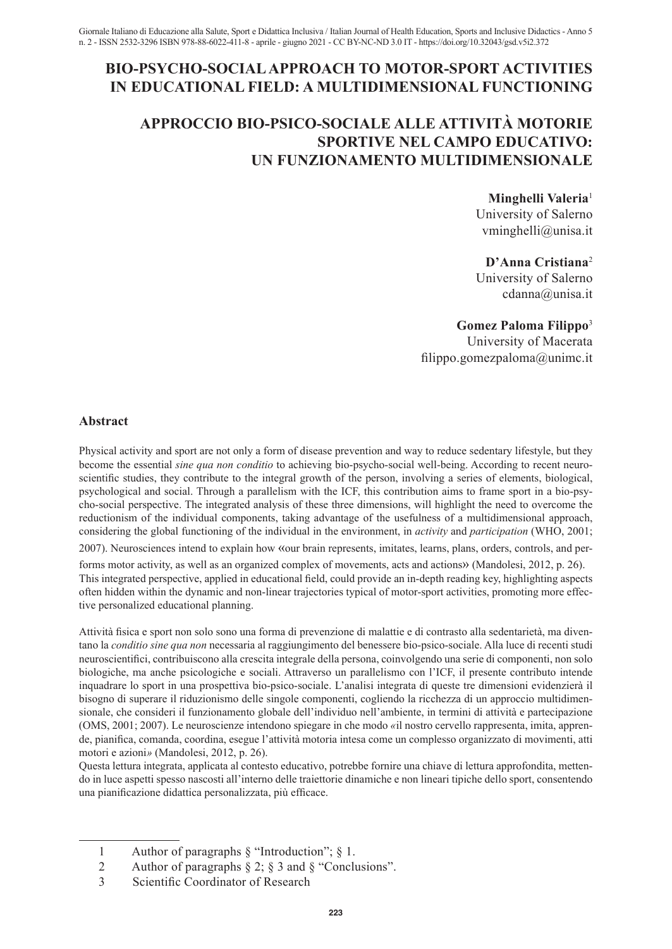# **BIO-PSYCHO-SOCIAL APPROACH TO MOTOR-SPORT ACTIVITIES IN EDUCATIONAL FIELD: A MULTIDIMENSIONAL FUNCTIONING**

# **APPROCCIO BIO-PSICO-SOCIALE ALLE ATTIVITÀ MOTORIE SPORTIVE NEL CAMPO EDUCATIVO: UN FUNZIONAMENTO MULTIDIMENSIONALE**

**Minghelli Valeria**<sup>1</sup> University of Salerno vminghelli@unisa.it

**D'Anna Cristiana**<sup>2</sup> University of Salerno cdanna@unisa.it

**Gomez Paloma Filippo**<sup>3</sup>

University of Macerata filippo.gomezpaloma@unimc.it

## **Abstract**

Physical activity and sport are not only a form of disease prevention and way to reduce sedentary lifestyle, but they become the essential *sine qua non conditio* to achieving bio-psycho-social well-being. According to recent neuroscientific studies, they contribute to the integral growth of the person, involving a series of elements, biological, psychological and social. Through a parallelism with the ICF, this contribution aims to frame sport in a bio-psycho-social perspective. The integrated analysis of these three dimensions, will highlight the need to overcome the reductionism of the individual components, taking advantage of the usefulness of a multidimensional approach, considering the global functioning of the individual in the environment, in *activity* and *participation* (WHO, 2001;

2007). Neurosciences intend to explain how «our brain represents, imitates, learns, plans, orders, controls, and per-

forms motor activity, as well as an organized complex of movements, acts and actions» (Mandolesi, 2012, p. 26). This integrated perspective, applied in educational field, could provide an in-depth reading key, highlighting aspects often hidden within the dynamic and non-linear trajectories typical of motor-sport activities, promoting more effective personalized educational planning.

Attività fisica e sport non solo sono una forma di prevenzione di malattie e di contrasto alla sedentarietà, ma diventano la *conditio sine qua non* necessaria al raggiungimento del benessere bio-psico-sociale. Alla luce di recenti studi neuroscientifici, contribuiscono alla crescita integrale della persona, coinvolgendo una serie di componenti, non solo biologiche, ma anche psicologiche e sociali. Attraverso un parallelismo con l'ICF, il presente contributo intende inquadrare lo sport in una prospettiva bio-psico-sociale. L'analisi integrata di queste tre dimensioni evidenzierà il bisogno di superare il riduzionismo delle singole componenti, cogliendo la ricchezza di un approccio multidimensionale, che consideri il funzionamento globale dell'individuo nell'ambiente, in termini di attività e partecipazione (OMS, 2001; 2007). Le neuroscienze intendono spiegare in che modo *«*il nostro cervello rappresenta, imita, apprende, pianifica, comanda, coordina, esegue l'attività motoria intesa come un complesso organizzato di movimenti, atti motori e azioni*»* (Mandolesi, 2012, p. 26).

Questa lettura integrata, applicata al contesto educativo, potrebbe fornire una chiave di lettura approfondita, mettendo in luce aspetti spesso nascosti all'interno delle traiettorie dinamiche e non lineari tipiche dello sport, consentendo una pianificazione didattica personalizzata, più efficace.

3 Scientific Coordinator of Research

<sup>1</sup> Author of paragraphs § "Introduction"; § 1.

<sup>2</sup> Author of paragraphs § 2; § 3 and § "Conclusions".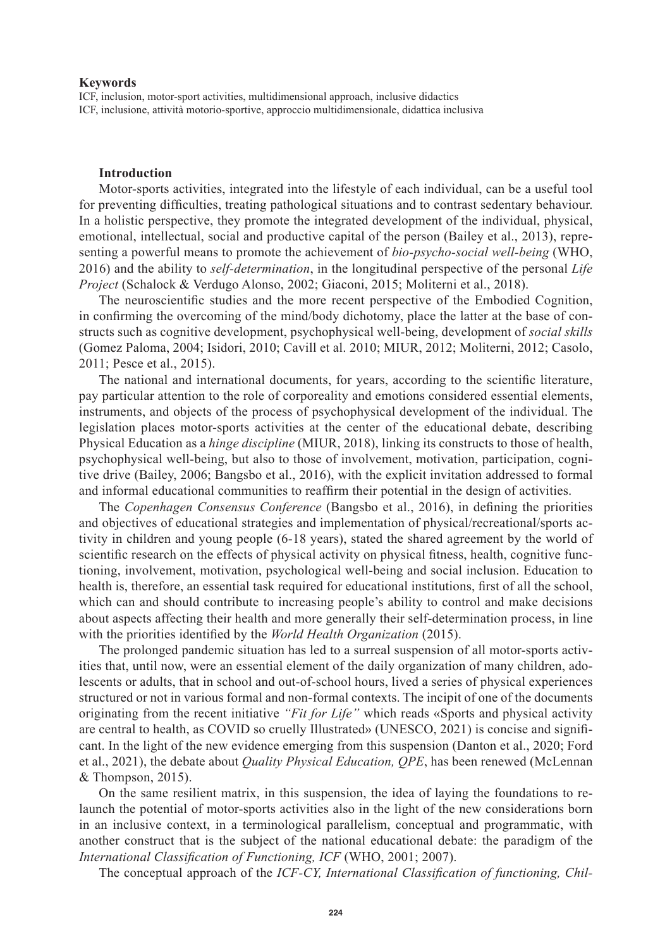#### **Keywords**

ICF, inclusion, motor-sport activities, multidimensional approach, inclusive didactics ICF, inclusione, attività motorio-sportive, approccio multidimensionale, didattica inclusiva

### **Introduction**

Motor-sports activities, integrated into the lifestyle of each individual, can be a useful tool for preventing difficulties, treating pathological situations and to contrast sedentary behaviour. In a holistic perspective, they promote the integrated development of the individual, physical, emotional, intellectual, social and productive capital of the person (Bailey et al., 2013), representing a powerful means to promote the achievement of *bio-psycho-social well-being* (WHO, 2016) and the ability to *self-determination*, in the longitudinal perspective of the personal *Life Project* (Schalock & Verdugo Alonso, 2002; Giaconi, 2015; Moliterni et al., 2018).

The neuroscientific studies and the more recent perspective of the Embodied Cognition, in confirming the overcoming of the mind/body dichotomy, place the latter at the base of constructs such as cognitive development, psychophysical well-being, development of *social skills* (Gomez Paloma, 2004; Isidori, 2010; Cavill et al. 2010; MIUR, 2012; Moliterni, 2012; Casolo, 2011; Pesce et al., 2015).

The national and international documents, for years, according to the scientific literature, pay particular attention to the role of corporeality and emotions considered essential elements, instruments, and objects of the process of psychophysical development of the individual. The legislation places motor-sports activities at the center of the educational debate, describing Physical Education as a *hinge discipline* (MIUR, 2018), linking its constructs to those of health, psychophysical well-being, but also to those of involvement, motivation, participation, cognitive drive (Bailey, 2006; Bangsbo et al., 2016), with the explicit invitation addressed to formal and informal educational communities to reaffirm their potential in the design of activities.

The *Copenhagen Consensus Conference* (Bangsbo et al., 2016), in defining the priorities and objectives of educational strategies and implementation of physical/recreational/sports activity in children and young people (6-18 years), stated the shared agreement by the world of scientific research on the effects of physical activity on physical fitness, health, cognitive functioning, involvement, motivation, psychological well-being and social inclusion. Education to health is, therefore, an essential task required for educational institutions, first of all the school, which can and should contribute to increasing people's ability to control and make decisions about aspects affecting their health and more generally their self-determination process, in line with the priorities identified by the *World Health Organization* (2015).

The prolonged pandemic situation has led to a surreal suspension of all motor-sports activities that, until now, were an essential element of the daily organization of many children, adolescents or adults, that in school and out-of-school hours, lived a series of physical experiences structured or not in various formal and non-formal contexts. The incipit of one of the documents originating from the recent initiative *"Fit for Life"* which reads «Sports and physical activity are central to health, as COVID so cruelly Illustrated» (UNESCO, 2021) is concise and significant. In the light of the new evidence emerging from this suspension (Danton et al., 2020; Ford et al., 2021), the debate about *Quality Physical Education, QPE*, has been renewed (McLennan & Thompson, 2015).

On the same resilient matrix, in this suspension, the idea of laying the foundations to relaunch the potential of motor-sports activities also in the light of the new considerations born in an inclusive context, in a terminological parallelism, conceptual and programmatic, with another construct that is the subject of the national educational debate: the paradigm of the *International Classification of Functioning, ICF* (WHO, 2001; 2007).

The conceptual approach of the *ICF-CY, International Classification of functioning, Chil-*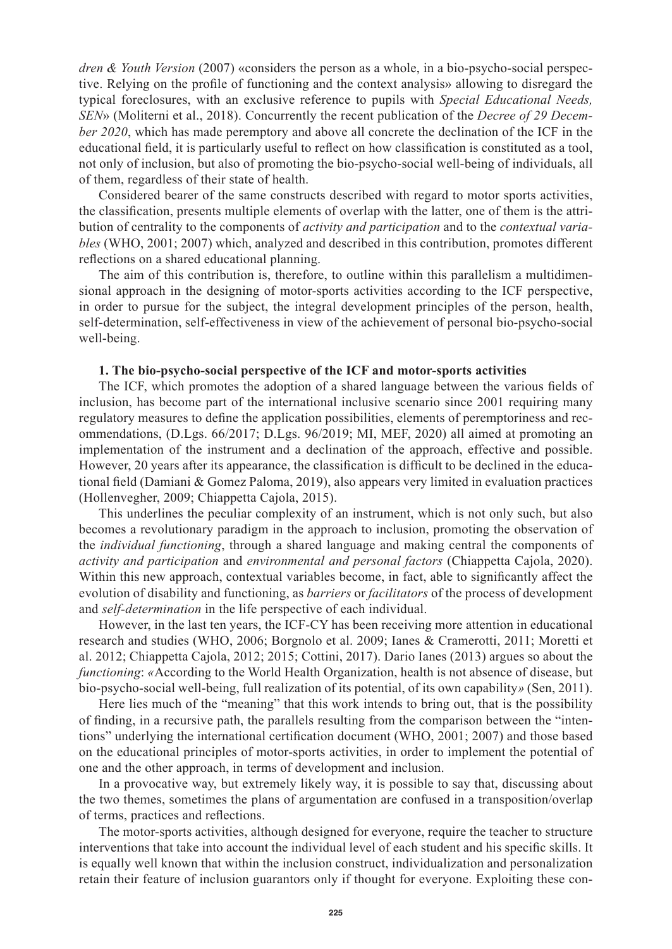*dren & Youth Version* (2007) «considers the person as a whole, in a bio-psycho-social perspective. Relying on the profile of functioning and the context analysis» allowing to disregard the typical foreclosures, with an exclusive reference to pupils with *Special Educational Needs, SEN*» (Moliterni et al., 2018). Concurrently the recent publication of the *Decree of 29 December 2020*, which has made peremptory and above all concrete the declination of the ICF in the educational field, it is particularly useful to reflect on how classification is constituted as a tool, not only of inclusion, but also of promoting the bio-psycho-social well-being of individuals, all of them, regardless of their state of health.

Considered bearer of the same constructs described with regard to motor sports activities, the classification, presents multiple elements of overlap with the latter, one of them is the attribution of centrality to the components of *activity and participation* and to the *contextual variables* (WHO, 2001; 2007) which, analyzed and described in this contribution, promotes different reflections on a shared educational planning.

The aim of this contribution is, therefore, to outline within this parallelism a multidimensional approach in the designing of motor-sports activities according to the ICF perspective, in order to pursue for the subject, the integral development principles of the person, health, self-determination, self-effectiveness in view of the achievement of personal bio-psycho-social well-being.

## **1. The bio-psycho-social perspective of the ICF and motor-sports activities**

The ICF, which promotes the adoption of a shared language between the various fields of inclusion, has become part of the international inclusive scenario since 2001 requiring many regulatory measures to define the application possibilities, elements of peremptoriness and recommendations, (D.Lgs. 66/2017; D.Lgs. 96/2019; MI, MEF, 2020) all aimed at promoting an implementation of the instrument and a declination of the approach, effective and possible. However, 20 years after its appearance, the classification is difficult to be declined in the educational field (Damiani & Gomez Paloma, 2019), also appears very limited in evaluation practices (Hollenvegher, 2009; Chiappetta Cajola, 2015).

This underlines the peculiar complexity of an instrument, which is not only such, but also becomes a revolutionary paradigm in the approach to inclusion, promoting the observation of the *individual functioning*, through a shared language and making central the components of *activity and participation* and *environmental and personal factors* (Chiappetta Cajola, 2020). Within this new approach, contextual variables become, in fact, able to significantly affect the evolution of disability and functioning, as *barriers* or *facilitators* of the process of development and *self-determination* in the life perspective of each individual.

However, in the last ten years, the ICF-CY has been receiving more attention in educational research and studies (WHO, 2006; Borgnolo et al. 2009; Ianes & Cramerotti, 2011; Moretti et al. 2012; Chiappetta Cajola, 2012; 2015; Cottini, 2017). Dario Ianes (2013) argues so about the *functioning*: *«*According to the World Health Organization, health is not absence of disease, but bio-psycho-social well-being, full realization of its potential, of its own capability*»* (Sen, 2011).

Here lies much of the "meaning" that this work intends to bring out, that is the possibility of finding, in a recursive path, the parallels resulting from the comparison between the "intentions" underlying the international certification document (WHO, 2001; 2007) and those based on the educational principles of motor-sports activities, in order to implement the potential of one and the other approach, in terms of development and inclusion.

In a provocative way, but extremely likely way, it is possible to say that, discussing about the two themes, sometimes the plans of argumentation are confused in a transposition/overlap of terms, practices and reflections.

The motor-sports activities, although designed for everyone, require the teacher to structure interventions that take into account the individual level of each student and his specific skills. It is equally well known that within the inclusion construct, individualization and personalization retain their feature of inclusion guarantors only if thought for everyone. Exploiting these con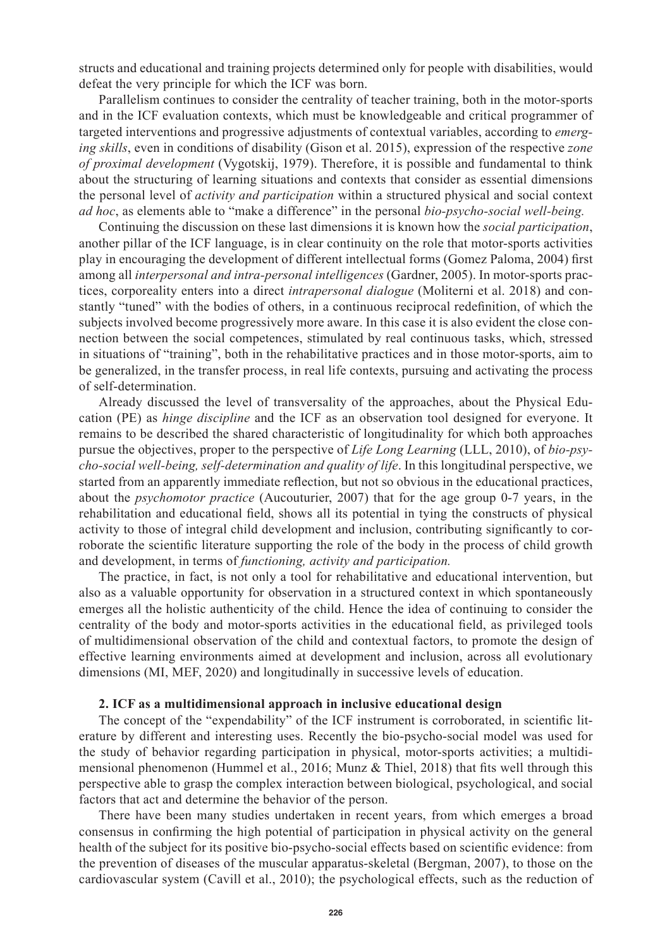structs and educational and training projects determined only for people with disabilities, would defeat the very principle for which the ICF was born.

Parallelism continues to consider the centrality of teacher training, both in the motor-sports and in the ICF evaluation contexts, which must be knowledgeable and critical programmer of targeted interventions and progressive adjustments of contextual variables, according to *emerging skills*, even in conditions of disability (Gison et al. 2015), expression of the respective *zone of proximal development* (Vygotskij, 1979). Therefore, it is possible and fundamental to think about the structuring of learning situations and contexts that consider as essential dimensions the personal level of *activity and participation* within a structured physical and social context *ad hoc*, as elements able to "make a difference" in the personal *bio-psycho-social well-being.*

Continuing the discussion on these last dimensions it is known how the *social participation*, another pillar of the ICF language, is in clear continuity on the role that motor-sports activities play in encouraging the development of different intellectual forms (Gomez Paloma, 2004) first among all *interpersonal and intra-personal intelligences* (Gardner, 2005). In motor-sports practices, corporeality enters into a direct *intrapersonal dialogue* (Moliterni et al. 2018) and constantly "tuned" with the bodies of others, in a continuous reciprocal redefinition, of which the subjects involved become progressively more aware. In this case it is also evident the close connection between the social competences, stimulated by real continuous tasks, which, stressed in situations of "training", both in the rehabilitative practices and in those motor-sports, aim to be generalized, in the transfer process, in real life contexts, pursuing and activating the process of self-determination.

Already discussed the level of transversality of the approaches, about the Physical Education (PE) as *hinge discipline* and the ICF as an observation tool designed for everyone. It remains to be described the shared characteristic of longitudinality for which both approaches pursue the objectives, proper to the perspective of *Life Long Learning* (LLL, 2010), of *bio-psycho-social well-being, self-determination and quality of life*. In this longitudinal perspective, we started from an apparently immediate reflection, but not so obvious in the educational practices, about the *psychomotor practice* (Aucouturier, 2007) that for the age group 0-7 years, in the rehabilitation and educational field, shows all its potential in tying the constructs of physical activity to those of integral child development and inclusion, contributing significantly to corroborate the scientific literature supporting the role of the body in the process of child growth and development, in terms of *functioning, activity and participation.*

The practice, in fact, is not only a tool for rehabilitative and educational intervention, but also as a valuable opportunity for observation in a structured context in which spontaneously emerges all the holistic authenticity of the child. Hence the idea of continuing to consider the centrality of the body and motor-sports activities in the educational field, as privileged tools of multidimensional observation of the child and contextual factors, to promote the design of effective learning environments aimed at development and inclusion, across all evolutionary dimensions (MI, MEF, 2020) and longitudinally in successive levels of education.

### **2. ICF as a multidimensional approach in inclusive educational design**

The concept of the "expendability" of the ICF instrument is corroborated, in scientific literature by different and interesting uses. Recently the bio-psycho-social model was used for the study of behavior regarding participation in physical, motor-sports activities; a multidimensional phenomenon (Hummel et al., 2016; Munz & Thiel, 2018) that fits well through this perspective able to grasp the complex interaction between biological, psychological, and social factors that act and determine the behavior of the person.

There have been many studies undertaken in recent years, from which emerges a broad consensus in confirming the high potential of participation in physical activity on the general health of the subject for its positive bio-psycho-social effects based on scientific evidence: from the prevention of diseases of the muscular apparatus-skeletal (Bergman, 2007), to those on the cardiovascular system (Cavill et al., 2010); the psychological effects, such as the reduction of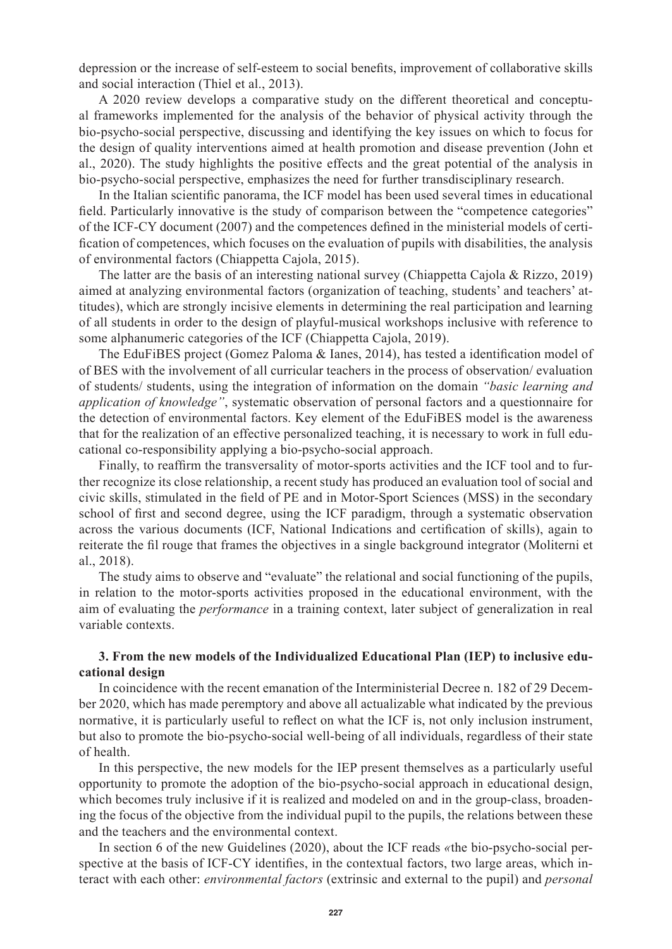depression or the increase of self-esteem to social benefits, improvement of collaborative skills and social interaction (Thiel et al., 2013).

A 2020 review develops a comparative study on the different theoretical and conceptual frameworks implemented for the analysis of the behavior of physical activity through the bio-psycho-social perspective, discussing and identifying the key issues on which to focus for the design of quality interventions aimed at health promotion and disease prevention (John et al., 2020). The study highlights the positive effects and the great potential of the analysis in bio-psycho-social perspective, emphasizes the need for further transdisciplinary research.

In the Italian scientific panorama, the ICF model has been used several times in educational field. Particularly innovative is the study of comparison between the "competence categories" of the ICF-CY document (2007) and the competences defined in the ministerial models of certification of competences, which focuses on the evaluation of pupils with disabilities, the analysis of environmental factors (Chiappetta Cajola, 2015).

The latter are the basis of an interesting national survey (Chiappetta Cajola & Rizzo, 2019) aimed at analyzing environmental factors (organization of teaching, students' and teachers' attitudes), which are strongly incisive elements in determining the real participation and learning of all students in order to the design of playful-musical workshops inclusive with reference to some alphanumeric categories of the ICF (Chiappetta Cajola, 2019).

The EduFiBES project (Gomez Paloma & Ianes, 2014), has tested a identification model of of BES with the involvement of all curricular teachers in the process of observation/ evaluation of students/ students, using the integration of information on the domain *"basic learning and application of knowledge"*, systematic observation of personal factors and a questionnaire for the detection of environmental factors. Key element of the EduFiBES model is the awareness that for the realization of an effective personalized teaching, it is necessary to work in full educational co-responsibility applying a bio-psycho-social approach.

Finally, to reaffirm the transversality of motor-sports activities and the ICF tool and to further recognize its close relationship, a recent study has produced an evaluation tool of social and civic skills, stimulated in the field of PE and in Motor-Sport Sciences (MSS) in the secondary school of first and second degree, using the ICF paradigm, through a systematic observation across the various documents (ICF, National Indications and certification of skills), again to reiterate the fil rouge that frames the objectives in a single background integrator (Moliterni et al., 2018).

The study aims to observe and "evaluate" the relational and social functioning of the pupils, in relation to the motor-sports activities proposed in the educational environment, with the aim of evaluating the *performance* in a training context, later subject of generalization in real variable contexts.

## **3. From the new models of the Individualized Educational Plan (IEP) to inclusive educational design**

In coincidence with the recent emanation of the Interministerial Decree n. 182 of 29 December 2020, which has made peremptory and above all actualizable what indicated by the previous normative, it is particularly useful to reflect on what the ICF is, not only inclusion instrument, but also to promote the bio-psycho-social well-being of all individuals, regardless of their state of health.

In this perspective, the new models for the IEP present themselves as a particularly useful opportunity to promote the adoption of the bio-psycho-social approach in educational design, which becomes truly inclusive if it is realized and modeled on and in the group-class, broadening the focus of the objective from the individual pupil to the pupils, the relations between these and the teachers and the environmental context.

In section 6 of the new Guidelines (2020), about the ICF reads *«*the bio-psycho-social perspective at the basis of ICF-CY identifies, in the contextual factors, two large areas, which interact with each other: *environmental factors* (extrinsic and external to the pupil) and *personal*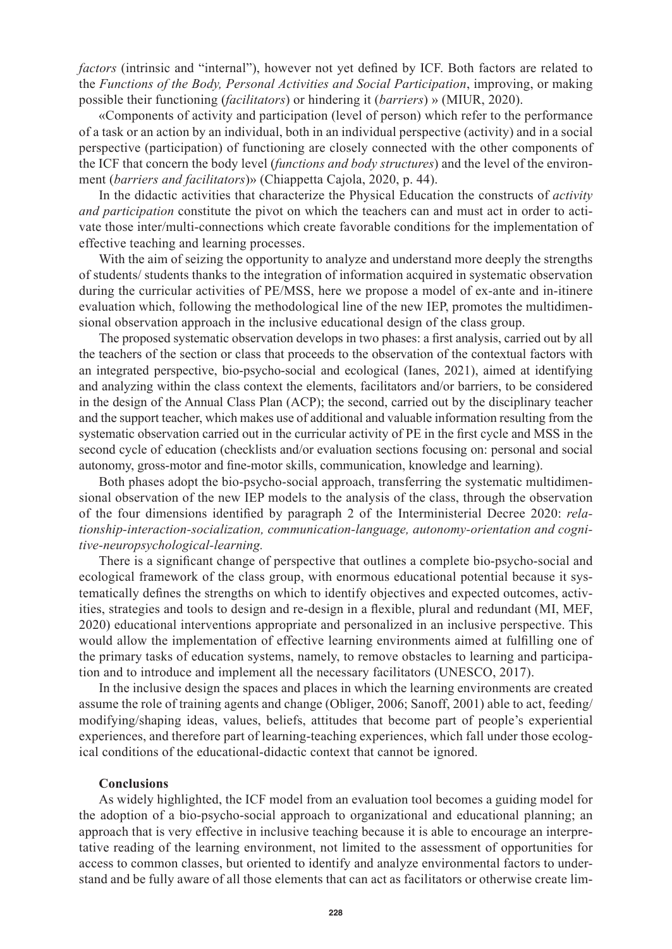*factors* (intrinsic and "internal"), however not yet defined by ICF. Both factors are related to the *Functions of the Body, Personal Activities and Social Participation*, improving, or making possible their functioning (*facilitators*) or hindering it (*barriers*) » (MIUR, 2020).

«Components of activity and participation (level of person) which refer to the performance of a task or an action by an individual, both in an individual perspective (activity) and in a social perspective (participation) of functioning are closely connected with the other components of the ICF that concern the body level (*functions and body structures*) and the level of the environment (*barriers and facilitators*)» (Chiappetta Cajola, 2020, p. 44).

In the didactic activities that characterize the Physical Education the constructs of *activity and participation* constitute the pivot on which the teachers can and must act in order to activate those inter/multi-connections which create favorable conditions for the implementation of effective teaching and learning processes.

With the aim of seizing the opportunity to analyze and understand more deeply the strengths of students/ students thanks to the integration of information acquired in systematic observation during the curricular activities of PE/MSS, here we propose a model of ex-ante and in-itinere evaluation which, following the methodological line of the new IEP, promotes the multidimensional observation approach in the inclusive educational design of the class group.

The proposed systematic observation develops in two phases: a first analysis, carried out by all the teachers of the section or class that proceeds to the observation of the contextual factors with an integrated perspective, bio-psycho-social and ecological (Ianes, 2021), aimed at identifying and analyzing within the class context the elements, facilitators and/or barriers, to be considered in the design of the Annual Class Plan (ACP); the second, carried out by the disciplinary teacher and the support teacher, which makes use of additional and valuable information resulting from the systematic observation carried out in the curricular activity of PE in the first cycle and MSS in the second cycle of education (checklists and/or evaluation sections focusing on: personal and social autonomy, gross-motor and fine-motor skills, communication, knowledge and learning).

Both phases adopt the bio-psycho-social approach, transferring the systematic multidimensional observation of the new IEP models to the analysis of the class, through the observation of the four dimensions identified by paragraph 2 of the Interministerial Decree 2020: *relationship-interaction-socialization, communication-language, autonomy-orientation and cognitive-neuropsychological-learning.*

There is a significant change of perspective that outlines a complete bio-psycho-social and ecological framework of the class group, with enormous educational potential because it systematically defines the strengths on which to identify objectives and expected outcomes, activities, strategies and tools to design and re-design in a flexible, plural and redundant (MI, MEF, 2020) educational interventions appropriate and personalized in an inclusive perspective. This would allow the implementation of effective learning environments aimed at fulfilling one of the primary tasks of education systems, namely, to remove obstacles to learning and participation and to introduce and implement all the necessary facilitators (UNESCO, 2017).

In the inclusive design the spaces and places in which the learning environments are created assume the role of training agents and change (Obliger, 2006; Sanoff, 2001) able to act, feeding/ modifying/shaping ideas, values, beliefs, attitudes that become part of people's experiential experiences, and therefore part of learning-teaching experiences, which fall under those ecological conditions of the educational-didactic context that cannot be ignored.

### **Conclusions**

As widely highlighted, the ICF model from an evaluation tool becomes a guiding model for the adoption of a bio-psycho-social approach to organizational and educational planning; an approach that is very effective in inclusive teaching because it is able to encourage an interpretative reading of the learning environment, not limited to the assessment of opportunities for access to common classes, but oriented to identify and analyze environmental factors to understand and be fully aware of all those elements that can act as facilitators or otherwise create lim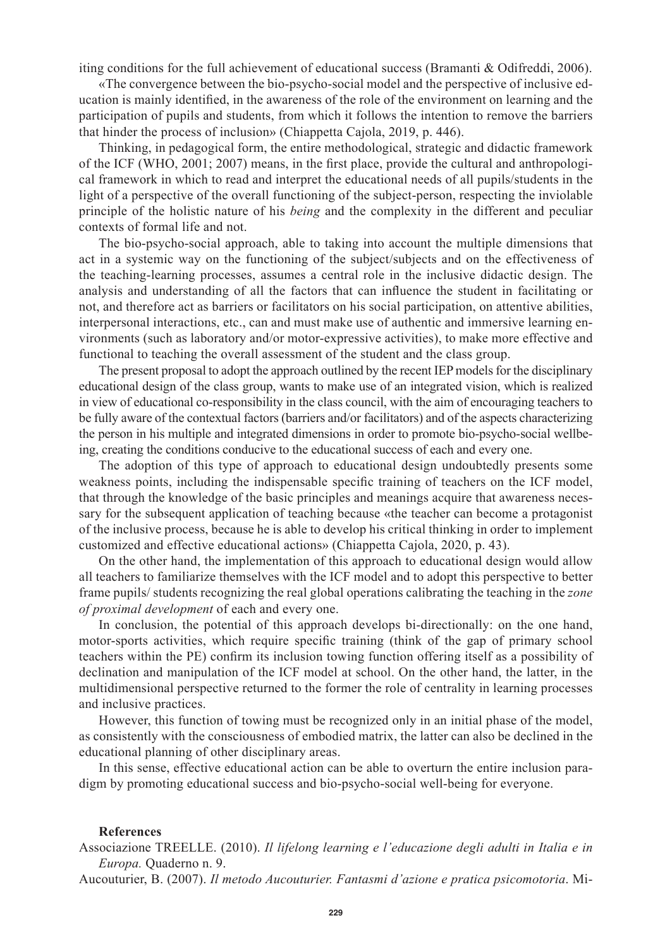iting conditions for the full achievement of educational success (Bramanti & Odifreddi, 2006).

«The convergence between the bio-psycho-social model and the perspective of inclusive education is mainly identified, in the awareness of the role of the environment on learning and the participation of pupils and students, from which it follows the intention to remove the barriers that hinder the process of inclusion» (Chiappetta Cajola, 2019, p. 446).

Thinking, in pedagogical form, the entire methodological, strategic and didactic framework of the ICF (WHO, 2001; 2007) means, in the first place, provide the cultural and anthropological framework in which to read and interpret the educational needs of all pupils/students in the light of a perspective of the overall functioning of the subject-person, respecting the inviolable principle of the holistic nature of his *being* and the complexity in the different and peculiar contexts of formal life and not.

The bio-psycho-social approach, able to taking into account the multiple dimensions that act in a systemic way on the functioning of the subject/subjects and on the effectiveness of the teaching-learning processes, assumes a central role in the inclusive didactic design. The analysis and understanding of all the factors that can influence the student in facilitating or not, and therefore act as barriers or facilitators on his social participation, on attentive abilities, interpersonal interactions, etc., can and must make use of authentic and immersive learning environments (such as laboratory and/or motor-expressive activities), to make more effective and functional to teaching the overall assessment of the student and the class group.

The present proposal to adopt the approach outlined by the recent IEP models for the disciplinary educational design of the class group, wants to make use of an integrated vision, which is realized in view of educational co-responsibility in the class council, with the aim of encouraging teachers to be fully aware of the contextual factors (barriers and/or facilitators) and of the aspects characterizing the person in his multiple and integrated dimensions in order to promote bio-psycho-social wellbeing, creating the conditions conducive to the educational success of each and every one.

The adoption of this type of approach to educational design undoubtedly presents some weakness points, including the indispensable specific training of teachers on the ICF model, that through the knowledge of the basic principles and meanings acquire that awareness necessary for the subsequent application of teaching because «the teacher can become a protagonist of the inclusive process, because he is able to develop his critical thinking in order to implement customized and effective educational actions» (Chiappetta Cajola, 2020, p. 43).

On the other hand, the implementation of this approach to educational design would allow all teachers to familiarize themselves with the ICF model and to adopt this perspective to better frame pupils/ students recognizing the real global operations calibrating the teaching in the *zone of proximal development* of each and every one.

In conclusion, the potential of this approach develops bi-directionally: on the one hand, motor-sports activities, which require specific training (think of the gap of primary school teachers within the PE) confirm its inclusion towing function offering itself as a possibility of declination and manipulation of the ICF model at school. On the other hand, the latter, in the multidimensional perspective returned to the former the role of centrality in learning processes and inclusive practices.

However, this function of towing must be recognized only in an initial phase of the model, as consistently with the consciousness of embodied matrix, the latter can also be declined in the educational planning of other disciplinary areas.

In this sense, effective educational action can be able to overturn the entire inclusion paradigm by promoting educational success and bio-psycho-social well-being for everyone.

#### **References**

Associazione TREELLE. (2010). *Il lifelong learning e l'educazione degli adulti in Italia e in Europa.* Quaderno n. 9.

Aucouturier, B. (2007). *Il metodo Aucouturier. Fantasmi d'azione e pratica psicomotoria*. Mi-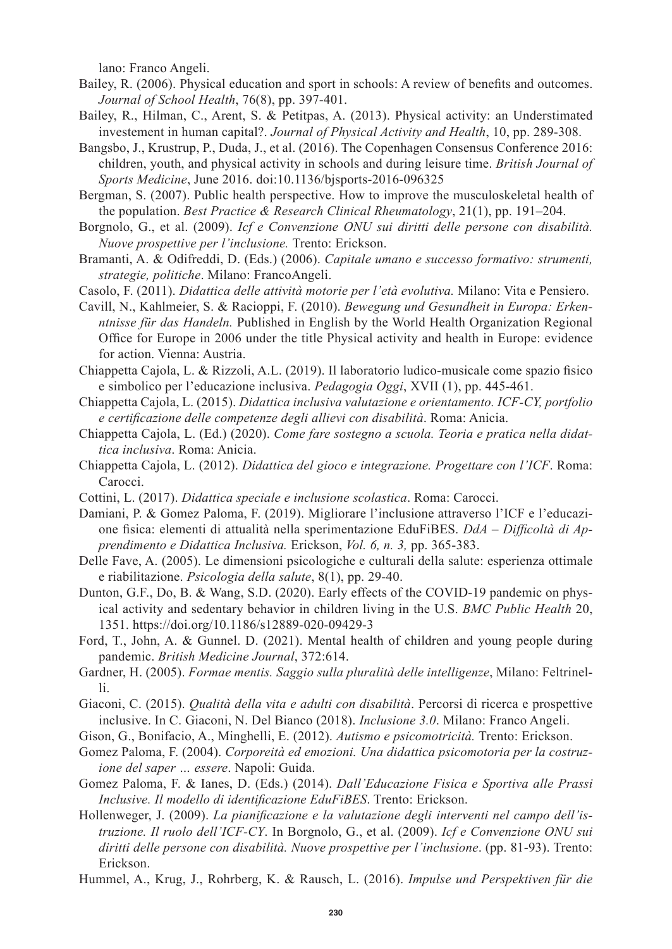lano: Franco Angeli.

- Bailey, R. (2006). Physical education and sport in schools: A review of benefits and outcomes. *Journal of School Health*, 76(8), pp. 397-401.
- Bailey, R., Hilman, C., Arent, S. & Petitpas, A. (2013). Physical activity: an Understimated investement in human capital?. *Journal of Physical Activity and Health*, 10, pp. 289-308.
- Bangsbo, J., Krustrup, P., Duda, J., et al. (2016). The Copenhagen Consensus Conference 2016: children, youth, and physical activity in schools and during leisure time. *British Journal of Sports Medicine*, June 2016. doi:10.1136/bjsports-2016-096325
- Bergman, S. (2007). Public health perspective. How to improve the musculoskeletal health of the population. *Best Practice & Research Clinical Rheumatology*, 21(1), pp. 191–204.
- Borgnolo, G., et al. (2009). *Icf e Convenzione ONU sui diritti delle persone con disabilità. Nuove prospettive per l'inclusione.* Trento: Erickson.
- Bramanti, A. & Odifreddi, D. (Eds.) (2006). *Capitale umano e successo formativo: strumenti, strategie, politiche*. Milano: FrancoAngeli.
- Casolo, F. (2011). *Didattica delle attività motorie per l'età evolutiva.* Milano: Vita e Pensiero.
- Cavill, N., Kahlmeier, S. & Racioppi, F. (2010). *Bewegung und Gesundheit in Europa: Erkenntnisse für das Handeln.* Published in English by the World Health Organization Regional Office for Europe in 2006 under the title Physical activity and health in Europe: evidence for action. Vienna: Austria.
- Chiappetta Cajola, L. & Rizzoli, A.L. (2019). Il laboratorio ludico-musicale come spazio fisico e simbolico per l'educazione inclusiva. *Pedagogia Oggi*, XVII (1), pp. 445-461.
- Chiappetta Cajola, L. (2015). *Didattica inclusiva valutazione e orientamento. ICF-CY, portfolio e certificazione delle competenze degli allievi con disabilità*. Roma: Anicia.
- Chiappetta Cajola, L. (Ed.) (2020). *Come fare sostegno a scuola. Teoria e pratica nella didattica inclusiva*. Roma: Anicia.
- Chiappetta Cajola, L. (2012). *Didattica del gioco e integrazione. Progettare con l'ICF*. Roma: Carocci.
- Cottini, L. (2017). *Didattica speciale e inclusione scolastica*. Roma: Carocci.
- Damiani, P. & Gomez Paloma, F. (2019). Migliorare l'inclusione attraverso l'ICF e l'educazione fisica: elementi di attualità nella sperimentazione EduFiBES. *DdA – Difficoltà di Apprendimento e Didattica Inclusiva.* Erickson, *Vol. 6, n. 3,* pp. 365-383.
- Delle Fave, A. (2005). Le dimensioni psicologiche e culturali della salute: esperienza ottimale e riabilitazione. *Psicologia della salute*, 8(1), pp. 29-40.
- Dunton, G.F., Do, B. & Wang, S.D. (2020). Early effects of the COVID-19 pandemic on physical activity and sedentary behavior in children living in the U.S. *BMC Public Health* 20, 1351. https://doi.org/10.1186/s12889-020-09429-3
- Ford, T., John, A. & Gunnel. D. (2021). Mental health of children and young people during pandemic. *British Medicine Journal*, 372:614.
- Gardner, H. (2005). *Formae mentis. Saggio sulla pluralità delle intelligenze*, Milano: Feltrinelli.
- Giaconi, C. (2015). *Qualità della vita e adulti con disabilità*. Percorsi di ricerca e prospettive inclusive. In C. Giaconi, N. Del Bianco (2018). *Inclusione 3.0*. Milano: Franco Angeli.
- Gison, G., Bonifacio, A., Minghelli, E. (2012). *Autismo e psicomotricità.* Trento: Erickson.
- Gomez Paloma, F. (2004). *Corporeità ed emozioni. Una didattica psicomotoria per la costruzione del saper … essere*. Napoli: Guida.
- Gomez Paloma, F. & Ianes, D. (Eds.) (2014). *Dall'Educazione Fisica e Sportiva alle Prassi Inclusive. Il modello di identificazione EduFiBES*. Trento: Erickson.
- Hollenweger, J. (2009). *La pianificazione e la valutazione degli interventi nel campo dell'istruzione. Il ruolo dell'ICF-CY*. In Borgnolo, G., et al. (2009). *Icf e Convenzione ONU sui diritti delle persone con disabilità. Nuove prospettive per l'inclusione*. (pp. 81-93). Trento: Erickson.
- Hummel, A., Krug, J., Rohrberg, K. & Rausch, L. (2016). *Impulse und Perspektiven für die*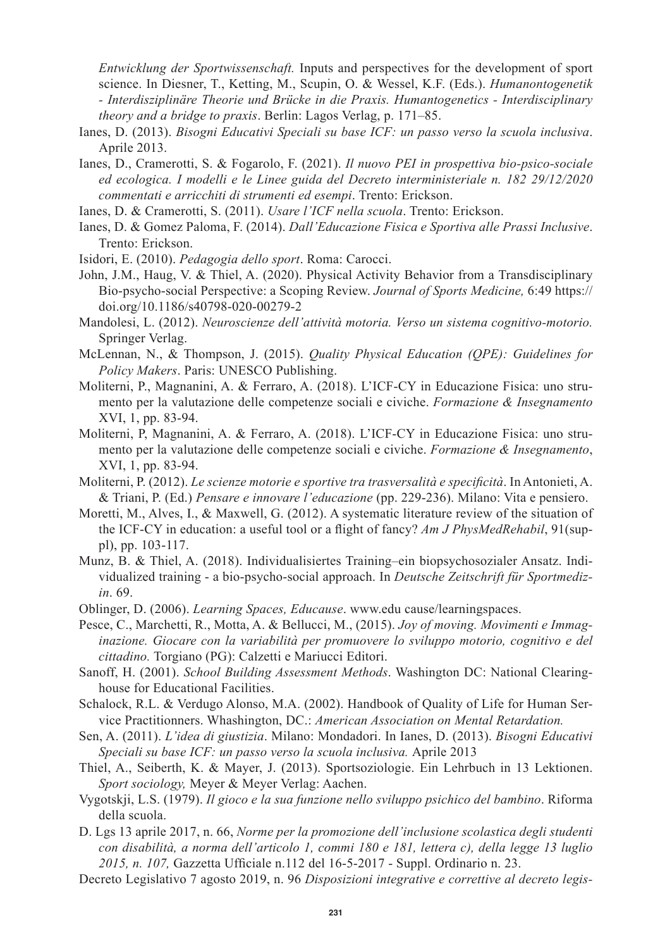*Entwicklung der Sportwissenschaft.* Inputs and perspectives for the development of sport science. In Diesner, T., Ketting, M., Scupin, O. & Wessel, K.F. (Eds.). *Humanontogenetik - Interdisziplinäre Theorie und Brücke in die Praxis. Humantogenetics - Interdisciplinary theory and a bridge to praxis*. Berlin: Lagos Verlag, p. 171–85.

- Ianes, D. (2013). *Bisogni Educativi Speciali su base ICF: un passo verso la scuola inclusiva*. Aprile 2013.
- Ianes, D., Cramerotti, S. & Fogarolo, F. (2021). *Il nuovo PEI in prospettiva bio-psico-sociale ed ecologica. I modelli e le Linee guida del Decreto interministeriale n. 182 29/12/2020 commentati e arricchiti di strumenti ed esempi*. Trento: Erickson.
- Ianes, D. & Cramerotti, S. (2011). *Usare l'ICF nella scuola*. Trento: Erickson.
- Ianes, D. & Gomez Paloma, F. (2014). *Dall'Educazione Fisica e Sportiva alle Prassi Inclusive*. Trento: Erickson.
- Isidori, E. (2010). *Pedagogia dello sport*. Roma: Carocci.
- John, J.M., Haug, V. & Thiel, A. (2020). Physical Activity Behavior from a Transdisciplinary Bio-psycho-social Perspective: a Scoping Review. *Journal of Sports Medicine,* 6:49 https:// doi.org/10.1186/s40798-020-00279-2
- Mandolesi, L. (2012). *Neuroscienze dell'attività motoria. Verso un sistema cognitivo-motorio.*  Springer Verlag.
- McLennan, N., & Thompson, J. (2015). *Quality Physical Education (QPE): Guidelines for Policy Makers*. Paris: UNESCO Publishing.
- Moliterni, P., Magnanini, A. & Ferraro, A. (2018). L'ICF-CY in Educazione Fisica: uno strumento per la valutazione delle competenze sociali e civiche. *Formazione & Insegnamento* XVI, 1, pp. 83-94.
- Moliterni, P, Magnanini, A. & Ferraro, A. (2018). L'ICF-CY in Educazione Fisica: uno strumento per la valutazione delle competenze sociali e civiche. *Formazione & Insegnamento*, XVI, 1, pp. 83-94.
- Moliterni, P. (2012). *Le scienze motorie e sportive tra trasversalità e specificità*. In Antonieti, A. & Triani, P. (Ed.) *Pensare e innovare l'educazione* (pp. 229-236). Milano: Vita e pensiero.
- Moretti, M., Alves, I., & Maxwell, G. (2012). A systematic literature review of the situation of the ICF-CY in education: a useful tool or a flight of fancy? *Am J PhysMedRehabil*, 91(suppl), pp. 103-117.
- Munz, B. & Thiel, A. (2018). Individualisiertes Training–ein biopsychosozialer Ansatz. Individualized training - a bio-psycho-social approach. In *Deutsche Zeitschrift für Sportmedizin*. 69.
- Oblinger, D. (2006). *Learning Spaces, Educause*. www.edu cause/learningspaces.
- Pesce, C., Marchetti, R., Motta, A. & Bellucci, M., (2015). *Joy of moving. Movimenti e Immaginazione. Giocare con la variabilità per promuovere lo sviluppo motorio, cognitivo e del cittadino.* Torgiano (PG): Calzetti e Mariucci Editori.
- Sanoff, H. (2001). *School Building Assessment Methods*. Washington DC: National Clearinghouse for Educational Facilities.
- Schalock, R.L. & Verdugo Alonso, M.A. (2002). Handbook of Quality of Life for Human Service Practitionners. Whashington, DC.: *American Association on Mental Retardation.*
- Sen, A. (2011). *L'idea di giustizia*. Milano: Mondadori. In Ianes, D. (2013). *Bisogni Educativi Speciali su base ICF: un passo verso la scuola inclusiva.* Aprile 2013
- Thiel, A., Seiberth, K. & Mayer, J. (2013). Sportsoziologie. Ein Lehrbuch in 13 Lektionen. *Sport sociology,* Meyer & Meyer Verlag: Aachen.
- Vygotskji, L.S. (1979). *Il gioco e la sua funzione nello sviluppo psichico del bambino*. Riforma della scuola.
- D. Lgs 13 aprile 2017, n. 66, *Norme per la promozione dell'inclusione scolastica degli studenti con disabilità, a norma dell'articolo 1, commi 180 e 181, lettera c), della legge 13 luglio 2015, n. 107,* Gazzetta Ufficiale n.112 del 16-5-2017 - Suppl. Ordinario n. 23.
- Decreto Legislativo 7 agosto 2019, n. 96 *Disposizioni integrative e correttive al decreto legis-*